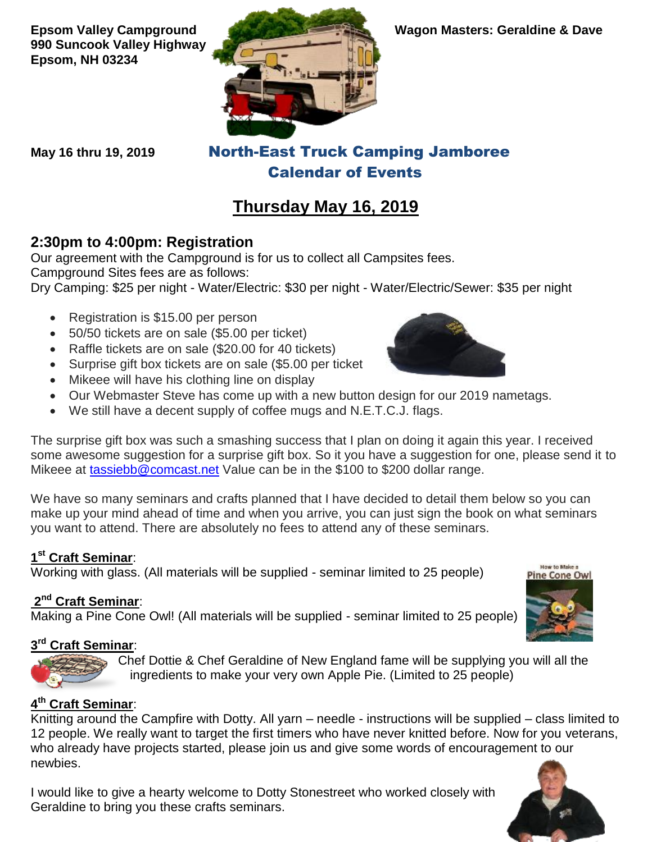**990 Suncook Valley Highway Epsom, NH 03234**



**May 16 thru 19, 2019** North-East Truck Camping Jamboree Calendar of Events

# **Thursday May 16, 2019**

#### **2:30pm to 4:00pm: Registration**

Our agreement with the Campground is for us to collect all Campsites fees. Campground Sites fees are as follows:

Dry Camping: \$25 per night - Water/Electric: \$30 per night - Water/Electric/Sewer: \$35 per night

- Registration is \$15.00 per person
- 50/50 tickets are on sale (\$5.00 per ticket)
- Raffle tickets are on sale (\$20.00 for 40 tickets)
- Surprise gift box tickets are on sale (\$5.00 per ticket
- Mikeee will have his clothing line on display
- Our Webmaster Steve has come up with a new button design for our 2019 nametags.
- We still have a decent supply of coffee mugs and N.E.T.C.J. flags.

The surprise gift box was such a smashing success that I plan on doing it again this year. I received some awesome suggestion for a surprise gift box. So it you have a suggestion for one, please send it to Mikeee at [tassiebb@comcast.net](mailto:tassiebb@comcast.net) Value can be in the \$100 to \$200 dollar range.

We have so many seminars and crafts planned that I have decided to detail them below so you can make up your mind ahead of time and when you arrive, you can just sign the book on what seminars you want to attend. There are absolutely no fees to attend any of these seminars.

#### **1 st Craft Seminar**:

Working with glass. (All materials will be supplied - seminar limited to 25 people)

#### **2 nd Craft Seminar**:

Making a Pine Cone Owl! (All materials will be supplied - seminar limited to 25 people)

#### **3 rd Craft Seminar**:

Chef Dottie & Chef Geraldine of New England fame will be supplying you will all the ingredients to make your very own Apple Pie. (Limited to 25 people)

#### **4 th Craft Seminar**:

Knitting around the Campfire with Dotty. All yarn – needle - instructions will be supplied – class limited to 12 people. We really want to target the first timers who have never knitted before. Now for you veterans, who already have projects started, please join us and give some words of encouragement to our newbies.

I would like to give a hearty welcome to Dotty Stonestreet who worked closely with Geraldine to bring you these crafts seminars.





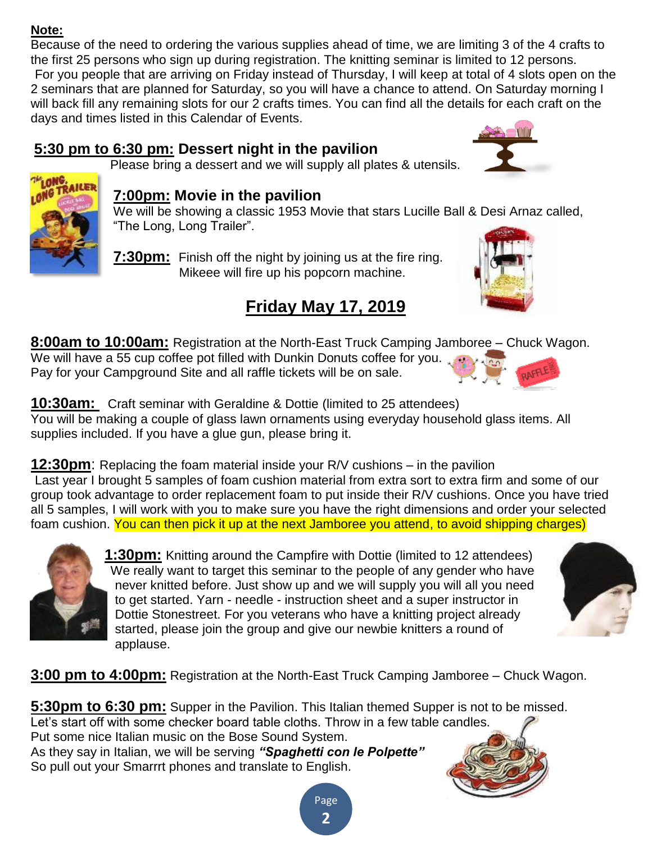#### **Note:**

Because of the need to ordering the various supplies ahead of time, we are limiting 3 of the 4 crafts to the first 25 persons who sign up during registration. The knitting seminar is limited to 12 persons. For you people that are arriving on Friday instead of Thursday, I will keep at total of 4 slots open on the 2 seminars that are planned for Saturday, so you will have a chance to attend. On Saturday morning I will back fill any remaining slots for our 2 crafts times. You can find all the details for each craft on the days and times listed in this Calendar of Events.

#### **5:30 pm to 6:30 pm: Dessert night in the pavilion** Please bring a dessert and we will supply all plates & utensils.





# **7:00pm: Movie in the pavilion**

We will be showing a classic 1953 Movie that stars Lucille Ball & Desi Arnaz called, "The Long, Long Trailer".

#### **7:30pm:** Finish off the night by joining us at the fire ring. Mikeee will fire up his popcorn machine.

# **Friday May 17, 2019**

**8:00am to 10:00am:** Registration at the North-East Truck Camping Jamboree – Chuck Wagon. We will have a 55 cup coffee pot filled with Dunkin Donuts coffee for you. Pay for your Campground Site and all raffle tickets will be on sale.



**10:30am:** Craft seminar with Geraldine & Dottie (limited to 25 attendees) You will be making a couple of glass lawn ornaments using everyday household glass items. All supplies included. If you have a glue gun, please bring it.

**12:30pm**: Replacing the foam material inside your R/V cushions – in the pavilion Last year I brought 5 samples of foam cushion material from extra sort to extra firm and some of our group took advantage to order replacement foam to put inside their R/V cushions. Once you have tried all 5 samples, I will work with you to make sure you have the right dimensions and order your selected foam cushion. You can then pick it up at the next Jamboree you attend, to avoid shipping charges)



**1:30pm:** Knitting around the Campfire with Dottie (limited to 12 attendees) We really want to target this seminar to the people of any gender who have never knitted before. Just show up and we will supply you will all you need to get started. Yarn - needle - instruction sheet and a super instructor in Dottie Stonestreet. For you veterans who have a knitting project already started, please join the group and give our newbie knitters a round of applause.



**3:00 pm to 4:00pm:** Registration at the North-East Truck Camping Jamboree – Chuck Wagon.

**5:30pm to 6:30 pm:** Supper in the Pavilion. This Italian themed Supper is not to be missed. Let's start off with some checker board table cloths. Throw in a few table candles. Put some nice Italian music on the Bose Sound System. As they say in Italian, we will be serving *"Spaghetti con le Polpette"* So pull out your Smarrrt phones and translate to English.

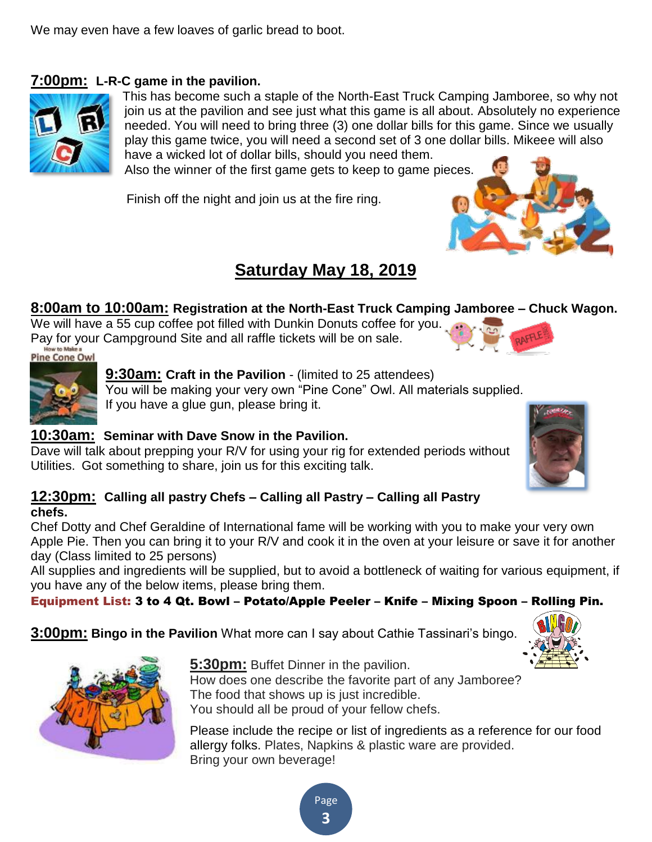We may even have a few loaves of garlic bread to boot.

#### **7:00pm: L-R-C game in the pavilion.**



This has become such a staple of the North-East Truck Camping Jamboree, so why not join us at the pavilion and see just what this game is all about. Absolutely no experience needed. You will need to bring three (3) one dollar bills for this game. Since we usually play this game twice, you will need a second set of 3 one dollar bills. Mikeee will also have a wicked lot of dollar bills, should you need them.

Also the winner of the first game gets to keep to game pieces.

Finish off the night and join us at the fire ring.



### **Saturday May 18, 2019**

#### **8:00am to 10:00am: Registration at the North-East Truck Camping Jamboree – Chuck Wagon.**

We will have a 55 cup coffee pot filled with Dunkin Donuts coffee for you. Pay for your Campground Site and all raffle tickets will be on sale.<br>Pine Cone Owl



**9:30am: Craft in the Pavilion** - (limited to 25 attendees) You will be making your very own "Pine Cone" Owl. All materials supplied. If you have a glue gun, please bring it.

#### **10:30am: Seminar with Dave Snow in the Pavilion.**

Dave will talk about prepping your R/V for using your rig for extended periods without Utilities. Got something to share, join us for this exciting talk.

#### **12:30pm: Calling all pastry Chefs – Calling all Pastry – Calling all Pastry chefs.**

Chef Dotty and Chef Geraldine of International fame will be working with you to make your very own Apple Pie. Then you can bring it to your R/V and cook it in the oven at your leisure or save it for another day (Class limited to 25 persons)

All supplies and ingredients will be supplied, but to avoid a bottleneck of waiting for various equipment, if you have any of the below items, please bring them.

> Page **3**

Equipment List: 3 to 4 Qt. Bowl – Potato/Apple Peeler – Knife – Mixing Spoon – Rolling Pin.

**3:00pm: Bingo in the Pavilion** What more can I say about Cathie Tassinari's bingo.





**5:30pm:** Buffet Dinner in the pavilion.

How does one describe the favorite part of any Jamboree? The food that shows up is just incredible. You should all be proud of your fellow chefs.

Please include the recipe or list of ingredients as a reference for our food allergy folks. Plates, Napkins & plastic ware are provided. Bring your own beverage!